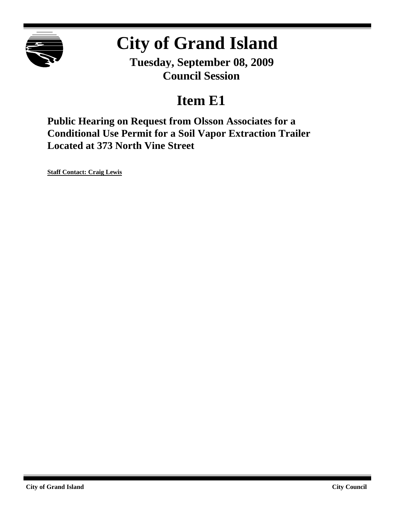

# **City of Grand Island**

**Tuesday, September 08, 2009 Council Session**

### **Item E1**

**Public Hearing on Request from Olsson Associates for a Conditional Use Permit for a Soil Vapor Extraction Trailer Located at 373 North Vine Street**

**Staff Contact: Craig Lewis**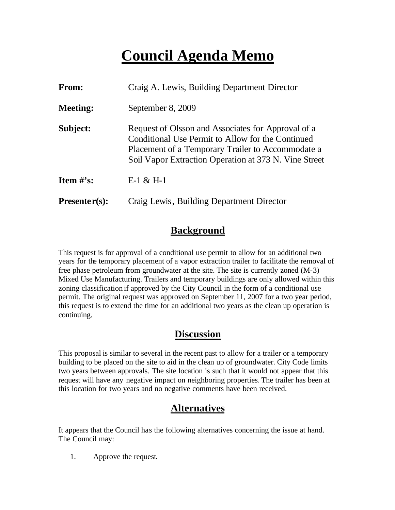## **Council Agenda Memo**

| <b>From:</b>    | Craig A. Lewis, Building Department Director                                                                                                                                                                          |
|-----------------|-----------------------------------------------------------------------------------------------------------------------------------------------------------------------------------------------------------------------|
| <b>Meeting:</b> | September 8, 2009                                                                                                                                                                                                     |
| Subject:        | Request of Olsson and Associates for Approval of a<br>Conditional Use Permit to Allow for the Continued<br>Placement of a Temporary Trailer to Accommodate a<br>Soil Vapor Extraction Operation at 373 N. Vine Street |
| Item $#$ 's:    | $E-1 & E H-1$                                                                                                                                                                                                         |
| $Presenter(s):$ | Craig Lewis, Building Department Director                                                                                                                                                                             |

#### **Background**

This request is for approval of a conditional use permit to allow for an additional two years for the temporary placement of a vapor extraction trailer to facilitate the removal of free phase petroleum from groundwater at the site. The site is currently zoned (M-3) Mixed Use Manufacturing. Trailers and temporary buildings are only allowed within this zoning classification if approved by the City Council in the form of a conditional use permit. The original request was approved on September 11, 2007 for a two year period, this request is to extend the time for an additional two years as the clean up operation is continuing.

#### **Discussion**

This proposal is similar to several in the recent past to allow for a trailer or a temporary building to be placed on the site to aid in the clean up of groundwater. City Code limits two years between approvals. The site location is such that it would not appear that this request will have any negative impact on neighboring properties. The trailer has been at this location for two years and no negative comments have been received.

#### **Alternatives**

It appears that the Council has the following alternatives concerning the issue at hand. The Council may:

1. Approve the request.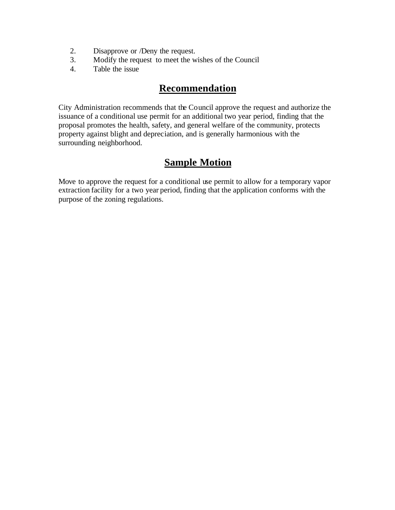- 2. Disapprove or /Deny the request.
- 3. Modify the request to meet the wishes of the Council
- 4. Table the issue

#### **Recommendation**

City Administration recommends that the Council approve the request and authorize the issuance of a conditional use permit for an additional two year period, finding that the proposal promotes the health, safety, and general welfare of the community, protects property against blight and depreciation, and is generally harmonious with the surrounding neighborhood.

#### **Sample Motion**

Move to approve the request for a conditional use permit to allow for a temporary vapor extraction facility for a two year period, finding that the application conforms with the purpose of the zoning regulations.